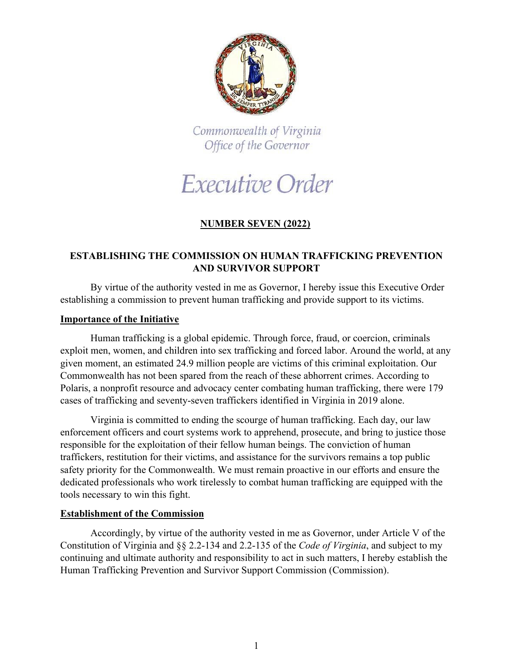

Commonwealth of Virginia Office of the Governor

# Executive Order

# **NUMBER SEVEN (2022)**

## **ESTABLISHING THE COMMISSION ON HUMAN TRAFFICKING PREVENTION AND SURVIVOR SUPPORT**

By virtue of the authority vested in me as Governor, I hereby issue this Executive Order establishing a commission to prevent human trafficking and provide support to its victims.

#### **Importance of the Initiative**

Human trafficking is a global epidemic. Through force, fraud, or coercion, criminals exploit men, women, and children into sex trafficking and forced labor. Around the world, at any given moment, an estimated 24.9 million people are victims of this criminal exploitation. Our Commonwealth has not been spared from the reach of these abhorrent crimes. According to Polaris, a nonprofit resource and advocacy center combating human trafficking, there were 179 cases of trafficking and seventy-seven traffickers identified in Virginia in 2019 alone.

Virginia is committed to ending the scourge of human trafficking. Each day, our law enforcement officers and court systems work to apprehend, prosecute, and bring to justice those responsible for the exploitation of their fellow human beings. The conviction of human traffickers, restitution for their victims, and assistance for the survivors remains a top public safety priority for the Commonwealth. We must remain proactive in our efforts and ensure the dedicated professionals who work tirelessly to combat human trafficking are equipped with the tools necessary to win this fight.

### **Establishment of the Commission**

Accordingly, by virtue of the authority vested in me as Governor, under Article V of the Constitution of Virginia and §§ 2.2-134 and 2.2-135 of the *Code of Virginia*, and subject to my continuing and ultimate authority and responsibility to act in such matters, I hereby establish the Human Trafficking Prevention and Survivor Support Commission (Commission).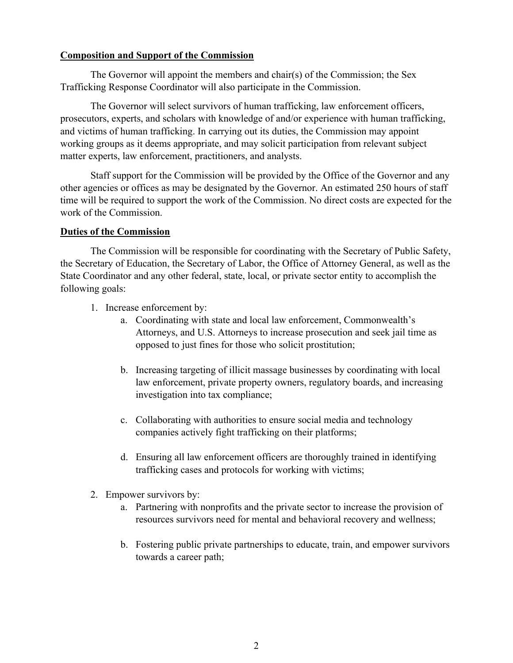### **Composition and Support of the Commission**

The Governor will appoint the members and chair(s) of the Commission; the Sex Trafficking Response Coordinator will also participate in the Commission.

The Governor will select survivors of human trafficking, law enforcement officers, prosecutors, experts, and scholars with knowledge of and/or experience with human trafficking, and victims of human trafficking. In carrying out its duties, the Commission may appoint working groups as it deems appropriate, and may solicit participation from relevant subject matter experts, law enforcement, practitioners, and analysts.

Staff support for the Commission will be provided by the Office of the Governor and any other agencies or offices as may be designated by the Governor. An estimated 250 hours of staff time will be required to support the work of the Commission. No direct costs are expected for the work of the Commission.

#### **Duties of the Commission**

The Commission will be responsible for coordinating with the Secretary of Public Safety, the Secretary of Education, the Secretary of Labor, the Office of Attorney General, as well as the State Coordinator and any other federal, state, local, or private sector entity to accomplish the following goals:

- 1. Increase enforcement by:
	- a. Coordinating with state and local law enforcement, Commonwealth's Attorneys, and U.S. Attorneys to increase prosecution and seek jail time as opposed to just fines for those who solicit prostitution;
	- b. Increasing targeting of illicit massage businesses by coordinating with local law enforcement, private property owners, regulatory boards, and increasing investigation into tax compliance;
	- c. Collaborating with authorities to ensure social media and technology companies actively fight trafficking on their platforms;
	- d. Ensuring all law enforcement officers are thoroughly trained in identifying trafficking cases and protocols for working with victims;
- 2. Empower survivors by:
	- a. Partnering with nonprofits and the private sector to increase the provision of resources survivors need for mental and behavioral recovery and wellness;
	- b. Fostering public private partnerships to educate, train, and empower survivors towards a career path;